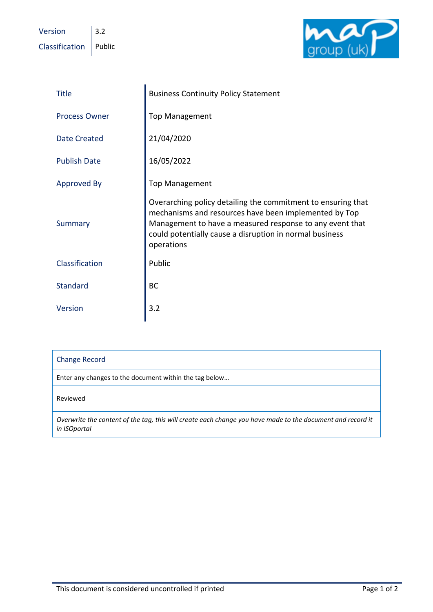Version  $\|$  3.2  $\Box$ Classification Public



| <b>Title</b>         | <b>Business Continuity Policy Statement</b>                                                                                                                                                                                                                |
|----------------------|------------------------------------------------------------------------------------------------------------------------------------------------------------------------------------------------------------------------------------------------------------|
| <b>Process Owner</b> | <b>Top Management</b>                                                                                                                                                                                                                                      |
| <b>Date Created</b>  | 21/04/2020                                                                                                                                                                                                                                                 |
| <b>Publish Date</b>  | 16/05/2022                                                                                                                                                                                                                                                 |
| Approved By          | <b>Top Management</b>                                                                                                                                                                                                                                      |
| Summary              | Overarching policy detailing the commitment to ensuring that<br>mechanisms and resources have been implemented by Top<br>Management to have a measured response to any event that<br>could potentially cause a disruption in normal business<br>operations |
| Classification       | Public                                                                                                                                                                                                                                                     |
| <b>Standard</b>      | <b>BC</b>                                                                                                                                                                                                                                                  |
| Version              | 3.2                                                                                                                                                                                                                                                        |

| <b>Change Record</b> |  |
|----------------------|--|
|----------------------|--|

Enter any changes to the document within the tag below…

Reviewed

*Overwrite the content of the tag, this will create each change you have made to the document and record it in ISOportal*